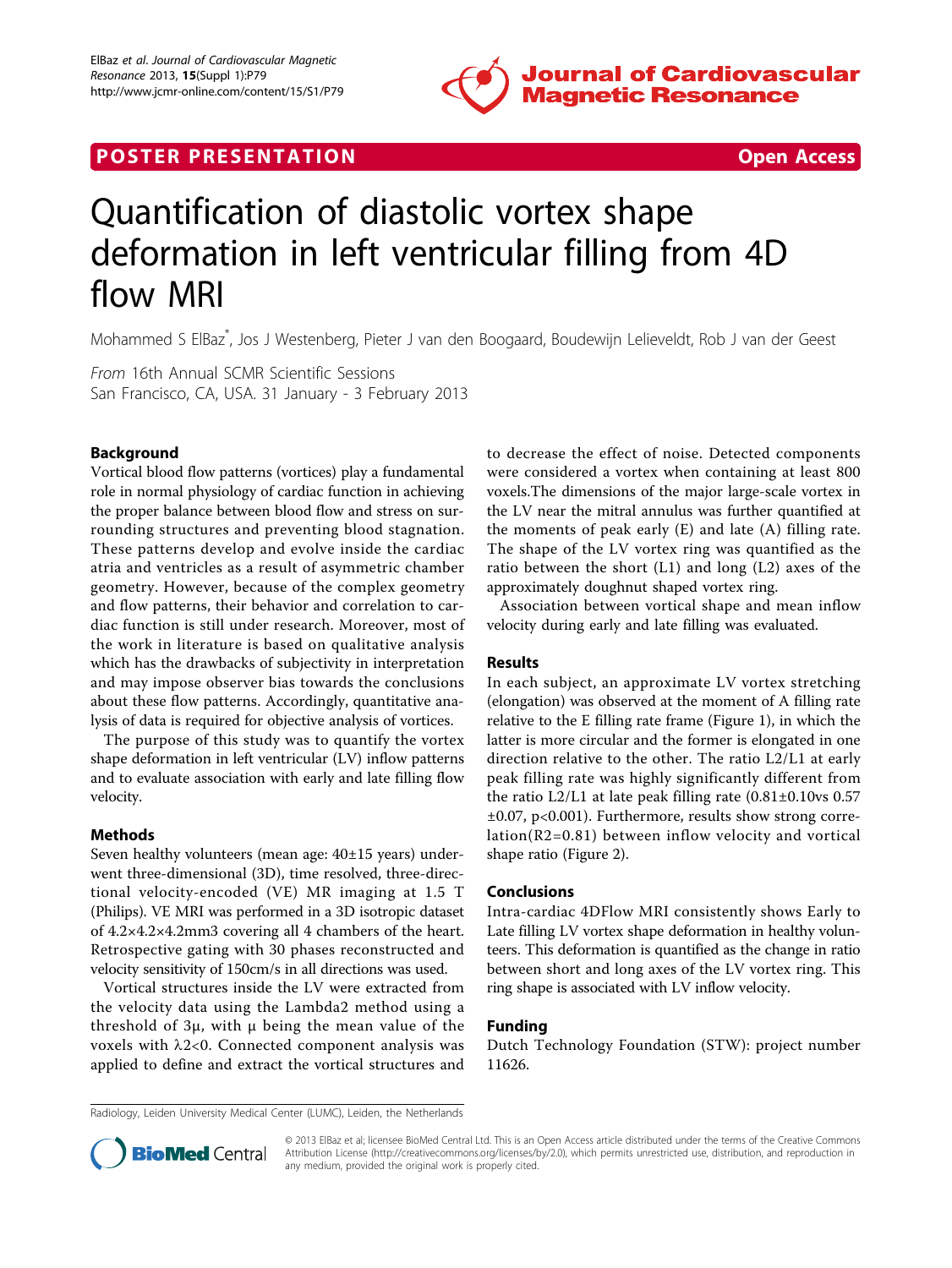

## **POSTER PRESENTATION CONSUMING THE SECOND CONSUMING THE SECOND CONSUMING THE SECOND CONSUMING THE SECOND CONSUMING THE SECOND CONSUMING THE SECOND CONSUMING THE SECOND CONSUMING THE SECOND CONSUMING THE SECOND CONSUMING**



# Quantification of diastolic vortex shape deformation in left ventricular filling from 4D flow MRI

Mohammed S ElBaz\* , Jos J Westenberg, Pieter J van den Boogaard, Boudewijn Lelieveldt, Rob J van der Geest

From 16th Annual SCMR Scientific Sessions San Francisco, CA, USA. 31 January - 3 February 2013

### Background

Vortical blood flow patterns (vortices) play a fundamental role in normal physiology of cardiac function in achieving the proper balance between blood flow and stress on surrounding structures and preventing blood stagnation. These patterns develop and evolve inside the cardiac atria and ventricles as a result of asymmetric chamber geometry. However, because of the complex geometry and flow patterns, their behavior and correlation to cardiac function is still under research. Moreover, most of the work in literature is based on qualitative analysis which has the drawbacks of subjectivity in interpretation and may impose observer bias towards the conclusions about these flow patterns. Accordingly, quantitative analysis of data is required for objective analysis of vortices.

The purpose of this study was to quantify the vortex shape deformation in left ventricular (LV) inflow patterns and to evaluate association with early and late filling flow velocity.

#### Methods

Seven healthy volunteers (mean age: 40±15 years) underwent three-dimensional (3D), time resolved, three-directional velocity-encoded (VE) MR imaging at 1.5 T (Philips). VE MRI was performed in a 3D isotropic dataset of 4.2×4.2×4.2mm3 covering all 4 chambers of the heart. Retrospective gating with 30 phases reconstructed and velocity sensitivity of 150cm/s in all directions was used.

Vortical structures inside the LV were extracted from the velocity data using the Lambda2 method using a threshold of  $3\mu$ , with  $\mu$  being the mean value of the voxels with  $\lambda$ 2<0. Connected component analysis was applied to define and extract the vortical structures and to decrease the effect of noise. Detected components were considered a vortex when containing at least 800 voxels.The dimensions of the major large-scale vortex in the LV near the mitral annulus was further quantified at the moments of peak early (E) and late (A) filling rate. The shape of the LV vortex ring was quantified as the ratio between the short (L1) and long (L2) axes of the approximately doughnut shaped vortex ring.

Association between vortical shape and mean inflow velocity during early and late filling was evaluated.

#### Results

In each subject, an approximate LV vortex stretching (elongation) was observed at the moment of A filling rate relative to the E filling rate frame (Figure [1\)](#page-1-0), in which the latter is more circular and the former is elongated in one direction relative to the other. The ratio L2/L1 at early peak filling rate was highly significantly different from the ratio L2/L1 at late peak filling rate  $(0.81 \pm 0.10)$ vs 0.57 ±0.07, p<0.001). Furthermore, results show strong correlation(R2=0.81) between inflow velocity and vortical shape ratio (Figure [2](#page-1-0)).

#### Conclusions

Intra-cardiac 4DFlow MRI consistently shows Early to Late filling LV vortex shape deformation in healthy volunteers. This deformation is quantified as the change in ratio between short and long axes of the LV vortex ring. This ring shape is associated with LV inflow velocity.

#### Funding

Dutch Technology Foundation (STW): project number 11626.

Radiology, Leiden University Medical Center (LUMC), Leiden, the Netherlands



© 2013 ElBaz et al; licensee BioMed Central Ltd. This is an Open Access article distributed under the terms of the Creative Commons Attribution License [\(http://creativecommons.org/licenses/by/2.0](http://creativecommons.org/licenses/by/2.0)), which permits unrestricted use, distribution, and reproduction in any medium, provided the original work is properly cited.